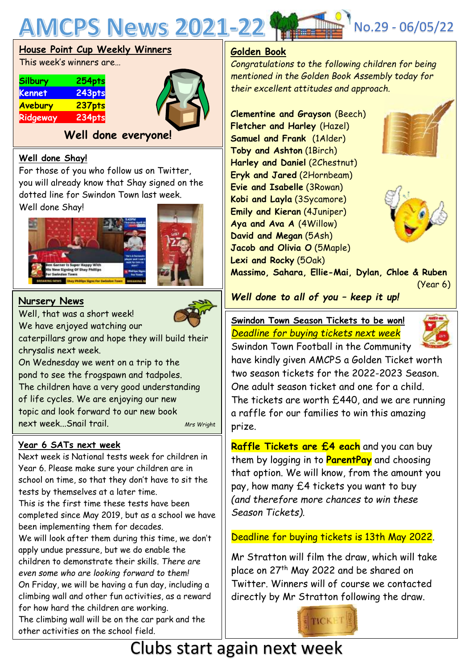

### **House Point Cup Weekly Winners**

This week's winners are…

| <b>Silbury</b> | 254pts |
|----------------|--------|
| <b>Kennet</b>  | 243pts |
| Avebury        | 237pts |
| Ridgeway       | 234pts |



**Well done everyone!**

### **Well done Shay!**

For those of you who follow us on Twitter, you will already know that Shay signed on the dotted line for Swindon Town last week.

Well done Shay!





### **Nursery News**

Well, that was a short week! We have enjoyed watching our

caterpillars grow and hope they will build their chrysalis next week.

On Wednesday we went on a trip to the pond to see the frogspawn and tadpoles. The children have a very good understanding of life cycles. We are enjoying our new topic and look forward to our new book next week...Snail trail. *Mrs Wright*

## **Year 6 SATs next week**

Next week is National tests week for children in Year 6. Please make sure your children are in school on time, so that they don't have to sit the tests by themselves at a later time. This is the first time these tests have been completed since May 2019, but as a school we have been implementing them for decades. We will look after them during this time, we don't apply undue pressure, but we do enable the children to demonstrate their skills. *There are even some who are looking forward to them!* On Friday, we will be having a fun day, including a climbing wall and other fun activities, as a reward for how hard the children are working.

The climbing wall will be on the car park and the other activities on the school field.

## **Golden Book**

*Congratulations to the following children for being mentioned in the Golden Book Assembly today for their excellent attitudes and approach.*

**Clementine and Grayson** (Beech) **Fletcher and Harley** (Hazel) **Samuel and Frank** (1Alder) **Toby and Ashton** (1Birch) **Harley and Daniel** (2Chestnut) **Eryk and Jared** (2Hornbeam) **Evie and Isabelle** (3Rowan) **Kobi and Layla** (3Sycamore) **Emily and Kieran** (4Juniper) **Aya and Ava A** (4Willow) **David and Megan** (5Ash) **Jacob and Olivia O** (5Maple) **Lexi and Rocky** (5Oak)





**Massimo, Sahara, Ellie-Mai, Dylan, Chloe & Ruben**

(Year 6)

## *Well done to all of you – keep it up!*

 *Deadline for buying tickets next week* **Swindon Town Season Tickets to be won!**



Swindon Town Football in the Community have kindly given AMCPS a Golden Ticket worth two season tickets for the 2022-2023 Season. One adult season ticket and one for a child. The tickets are worth £440, and we are running a raffle for our families to win this amazing prize.

**Raffle Tickets are £4 each** and you can buy them by logging in to **ParentPay** and choosing that option. We will know, from the amount you pay, how many £4 tickets you want to buy *(and therefore more chances to win these Season Tickets).*

### Deadline for buying tickets is 13th May 2022.

Mr Stratton will film the draw, which will take place on 27<sup>th</sup> May 2022 and be shared on Twitter. Winners will of course we contacted directly by Mr Stratton following the draw.



# Clubs start again next week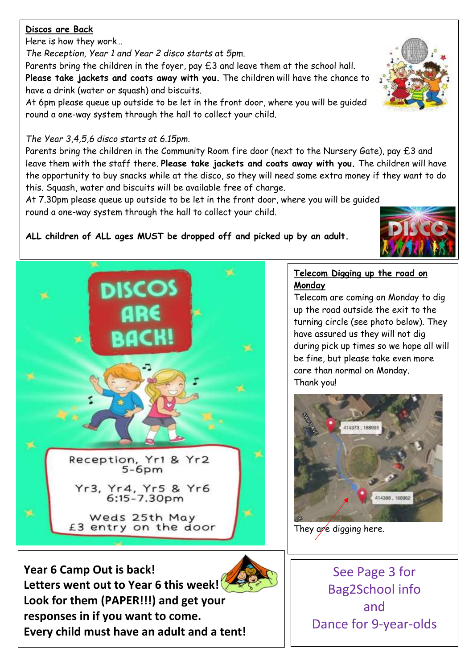### **Discos are Back**

Here is how they work…

*The Reception, Year 1 and Year 2 disco starts at 5pm*.

Parents bring the children in the foyer, pay £3 and leave them at the school hall. **Please take jackets and coats away with you.** The children will have the chance to have a drink (water or squash) and biscuits.

At 6pm please queue up outside to be let in the front door, where you will be guided round a one-way system through the hall to collect your child.

## *The Year 3,4,5,6 disco starts at 6.15pm.*

Parents bring the children in the Community Room fire door (next to the Nursery Gate), pay £3 and leave them with the staff there. **Please take jackets and coats away with you.** The children will have the opportunity to buy snacks while at the disco, so they will need some extra money if they want to do this. Squash, water and biscuits will be available free of charge.

At 7.30pm please queue up outside to be let in the front door, where you will be guided round a one-way system through the hall to collect your child.

## **ALL children of ALL ages MUST be dropped off and picked up by an adult.**



**Year 6 Camp Out is back! Letters went out to Year 6 this week! Look for them (PAPER!!!) and get your responses in if you want to come. Every child must have an adult and a tent!**

## **Telecom Digging up the road on Monday**

Telecom are coming on Monday to dig up the road outside the exit to the turning circle (see photo below). They have assured us they will not dig during pick up times so we hope all will be fine, but please take even more care than normal on Monday. Thank you!



They are digging here.

See Page 3 for Bag2School info and Dance for 9-year-olds